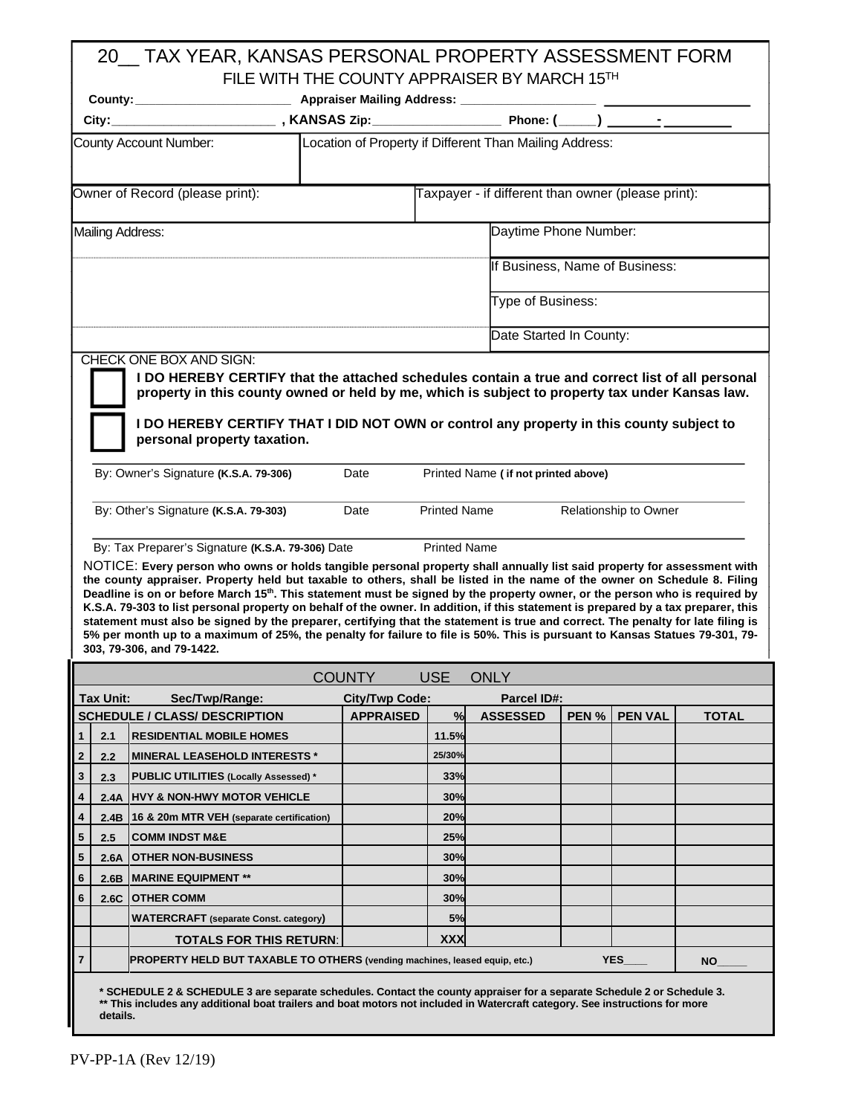# 20\_\_ TAX YEAR, KANSAS PERSONAL PROPERTY ASSESSMENT FORM FILE WITH THE COUNTY APPRAISER BY MARCH 15TH

|                             | City:      |                                                                                                                                                                                                                                                                                                                                                                                                                                                                                                                                                                                                                                                                                                                                                                                                                                                                                                                                                 |                  |                                            |                                                    |  |                       |              |  |  |  |  |  |  |
|-----------------------------|------------|-------------------------------------------------------------------------------------------------------------------------------------------------------------------------------------------------------------------------------------------------------------------------------------------------------------------------------------------------------------------------------------------------------------------------------------------------------------------------------------------------------------------------------------------------------------------------------------------------------------------------------------------------------------------------------------------------------------------------------------------------------------------------------------------------------------------------------------------------------------------------------------------------------------------------------------------------|------------------|--------------------------------------------|----------------------------------------------------|--|-----------------------|--------------|--|--|--|--|--|--|
|                             |            | Location of Property if Different Than Mailing Address:<br>County Account Number:                                                                                                                                                                                                                                                                                                                                                                                                                                                                                                                                                                                                                                                                                                                                                                                                                                                               |                  |                                            |                                                    |  |                       |              |  |  |  |  |  |  |
|                             |            | Owner of Record (please print):                                                                                                                                                                                                                                                                                                                                                                                                                                                                                                                                                                                                                                                                                                                                                                                                                                                                                                                 |                  |                                            | Taxpayer - if different than owner (please print): |  |                       |              |  |  |  |  |  |  |
|                             |            | Mailing Address:                                                                                                                                                                                                                                                                                                                                                                                                                                                                                                                                                                                                                                                                                                                                                                                                                                                                                                                                |                  |                                            | Daytime Phone Number:                              |  |                       |              |  |  |  |  |  |  |
|                             |            |                                                                                                                                                                                                                                                                                                                                                                                                                                                                                                                                                                                                                                                                                                                                                                                                                                                                                                                                                 |                  |                                            | If Business, Name of Business:                     |  |                       |              |  |  |  |  |  |  |
|                             |            |                                                                                                                                                                                                                                                                                                                                                                                                                                                                                                                                                                                                                                                                                                                                                                                                                                                                                                                                                 |                  |                                            | Type of Business:                                  |  |                       |              |  |  |  |  |  |  |
|                             |            |                                                                                                                                                                                                                                                                                                                                                                                                                                                                                                                                                                                                                                                                                                                                                                                                                                                                                                                                                 |                  |                                            | Date Started In County:                            |  |                       |              |  |  |  |  |  |  |
|                             |            | By: Owner's Signature (K.S.A. 79-306)<br>By: Other's Signature (K.S.A. 79-303)<br>By: Tax Preparer's Signature (K.S.A. 79-306) Date<br>NOTICE: Every person who owns or holds tangible personal property shall annually list said property for assessment with<br>the county appraiser. Property held but taxable to others, shall be listed in the name of the owner on Schedule 8. Filing<br>Deadline is on or before March 15 <sup>th</sup> . This statement must be signed by the property owner, or the person who is required by<br>K.S.A. 79-303 to list personal property on behalf of the owner. In addition, if this statement is prepared by a tax preparer, this<br>statement must also be signed by the preparer, certifying that the statement is true and correct. The penalty for late filing is<br>5% per month up to a maximum of 25%, the penalty for failure to file is 50%. This is pursuant to Kansas Statues 79-301, 79- | Date<br>Date     | <b>Printed Name</b><br><b>Printed Name</b> | Printed Name (if not printed above)                |  | Relationship to Owner |              |  |  |  |  |  |  |
|                             |            | 303, 79-306, and 79-1422.                                                                                                                                                                                                                                                                                                                                                                                                                                                                                                                                                                                                                                                                                                                                                                                                                                                                                                                       |                  |                                            |                                                    |  |                       |              |  |  |  |  |  |  |
|                             |            |                                                                                                                                                                                                                                                                                                                                                                                                                                                                                                                                                                                                                                                                                                                                                                                                                                                                                                                                                 | <b>COUNTY</b>    | <b>USE</b>                                 | <b>ONLY</b>                                        |  |                       |              |  |  |  |  |  |  |
|                             | Tax Unit:  | Sec/Twp/Range:                                                                                                                                                                                                                                                                                                                                                                                                                                                                                                                                                                                                                                                                                                                                                                                                                                                                                                                                  | City/Twp Code:   |                                            | <b>Parcel ID#:</b>                                 |  |                       |              |  |  |  |  |  |  |
|                             |            | <b>SCHEDULE / CLASS/ DESCRIPTION</b>                                                                                                                                                                                                                                                                                                                                                                                                                                                                                                                                                                                                                                                                                                                                                                                                                                                                                                            | <b>APPRAISED</b> | 11.5%                                      | %ASSESSED                                          |  | PEN % PEN VAL         | <b>TOTAL</b> |  |  |  |  |  |  |
| $\mathbf{1}$<br>$\mathbf 2$ | 2.1<br>2.2 | <b>RESIDENTIAL MOBILE HOMES</b><br><b>MINERAL LEASEHOLD INTERESTS *</b>                                                                                                                                                                                                                                                                                                                                                                                                                                                                                                                                                                                                                                                                                                                                                                                                                                                                         |                  | 25/30%                                     |                                                    |  |                       |              |  |  |  |  |  |  |
| $\mathbf 3$                 | 2.3        | <b>PUBLIC UTILITIES (Locally Assessed)*</b>                                                                                                                                                                                                                                                                                                                                                                                                                                                                                                                                                                                                                                                                                                                                                                                                                                                                                                     |                  | 33%                                        |                                                    |  |                       |              |  |  |  |  |  |  |
| $\pmb{4}$                   | 2.4A       | <b>HVY &amp; NON-HWY MOTOR VEHICLE</b>                                                                                                                                                                                                                                                                                                                                                                                                                                                                                                                                                                                                                                                                                                                                                                                                                                                                                                          |                  | 30%                                        |                                                    |  |                       |              |  |  |  |  |  |  |
| 4                           | 2.4B       | 16 & 20m MTR VEH (separate certification)                                                                                                                                                                                                                                                                                                                                                                                                                                                                                                                                                                                                                                                                                                                                                                                                                                                                                                       |                  | 20%                                        |                                                    |  |                       |              |  |  |  |  |  |  |
| ${\bf 5}$                   | 2.5        | <b>COMM INDST M&amp;E</b>                                                                                                                                                                                                                                                                                                                                                                                                                                                                                                                                                                                                                                                                                                                                                                                                                                                                                                                       |                  | 25%                                        |                                                    |  |                       |              |  |  |  |  |  |  |
| ${\bf 5}$                   | 2.6A       | <b>OTHER NON-BUSINESS</b>                                                                                                                                                                                                                                                                                                                                                                                                                                                                                                                                                                                                                                                                                                                                                                                                                                                                                                                       |                  | 30%                                        |                                                    |  |                       |              |  |  |  |  |  |  |
| $\bf 6$                     | 2.6B       | <b>MARINE EQUIPMENT **</b>                                                                                                                                                                                                                                                                                                                                                                                                                                                                                                                                                                                                                                                                                                                                                                                                                                                                                                                      |                  | 30%                                        |                                                    |  |                       |              |  |  |  |  |  |  |
| $\bf 6$                     | 2.6C       | <b>OTHER COMM</b>                                                                                                                                                                                                                                                                                                                                                                                                                                                                                                                                                                                                                                                                                                                                                                                                                                                                                                                               |                  | 30%                                        |                                                    |  |                       |              |  |  |  |  |  |  |
|                             |            | <b>WATERCRAFT</b> (separate Const. category)                                                                                                                                                                                                                                                                                                                                                                                                                                                                                                                                                                                                                                                                                                                                                                                                                                                                                                    |                  | 5%                                         |                                                    |  |                       |              |  |  |  |  |  |  |
|                             |            | <b>TOTALS FOR THIS RETURN:</b>                                                                                                                                                                                                                                                                                                                                                                                                                                                                                                                                                                                                                                                                                                                                                                                                                                                                                                                  |                  | <b>XXX</b>                                 |                                                    |  |                       |              |  |  |  |  |  |  |
| 7                           |            | PROPERTY HELD BUT TAXABLE TO OTHERS (vending machines, leased equip, etc.)                                                                                                                                                                                                                                                                                                                                                                                                                                                                                                                                                                                                                                                                                                                                                                                                                                                                      |                  |                                            |                                                    |  | <b>YES</b>            | ΝO           |  |  |  |  |  |  |
|                             |            |                                                                                                                                                                                                                                                                                                                                                                                                                                                                                                                                                                                                                                                                                                                                                                                                                                                                                                                                                 |                  |                                            |                                                    |  |                       |              |  |  |  |  |  |  |

**\* SCHEDULE 2 & SCHEDULE 3 are separate schedules. Contact the county appraiser for a separate Schedule 2 or Schedule 3. \*\* This includes any additional boat trailers and boat motors not included in Watercraft category. See instructions for more details.**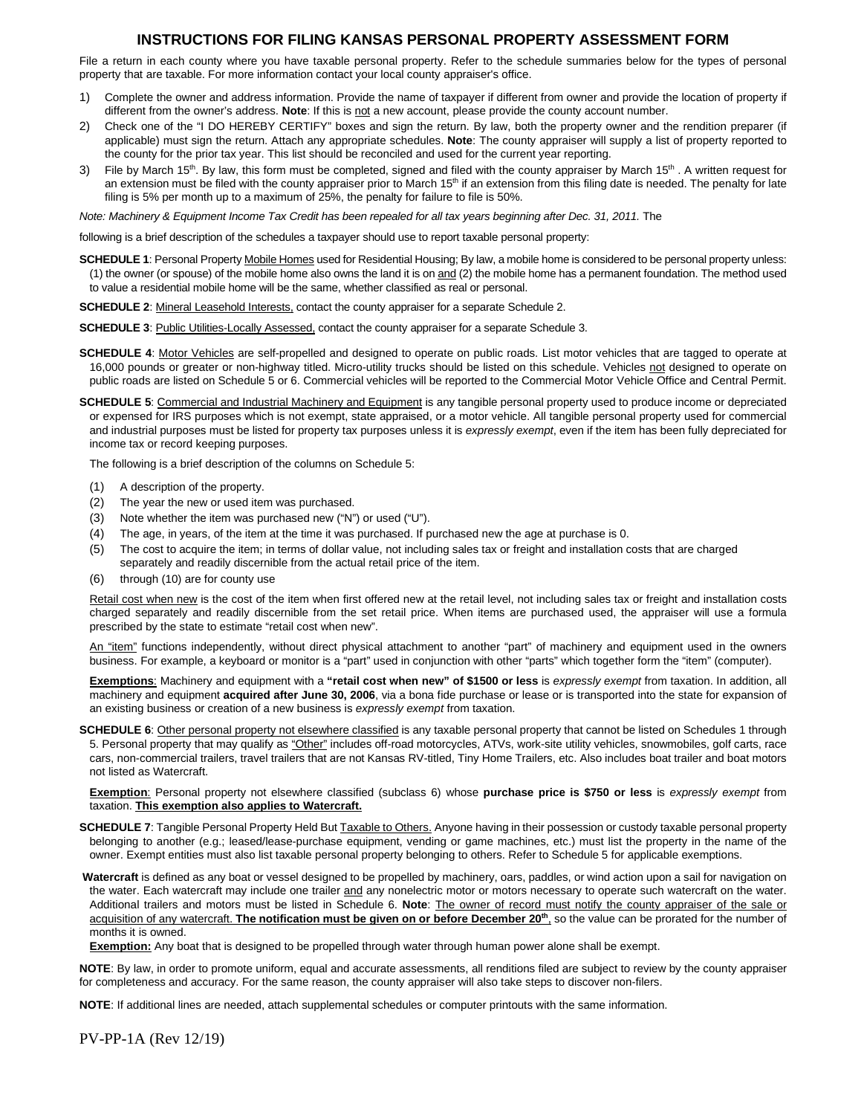#### **INSTRUCTIONS FOR FILING KANSAS PERSONAL PROPERTY ASSESSMENT FORM**

File a return in each county where you have taxable personal property. Refer to the schedule summaries below for the types of personal property that are taxable. For more information contact your local county appraiser's office.

- 1) Complete the owner and address information. Provide the name of taxpayer if different from owner and provide the location of property if different from the owner's address. **Note**: If this is not a new account, please provide the county account number.
- 2) Check one of the "I DO HEREBY CERTIFY" boxes and sign the return. By law, both the property owner and the rendition preparer (if applicable) must sign the return. Attach any appropriate schedules. **Note**: The county appraiser will supply a list of property reported to the county for the prior tax year. This list should be reconciled and used for the current year reporting.
- 3) File by March 15<sup>th</sup>. By law, this form must be completed, signed and filed with the county appraiser by March 15<sup>th</sup>. A written request for an extension must be filed with the county appraiser prior to March 15<sup>th</sup> if an extension from this filing date is needed. The penalty for late filing is 5% per month up to a maximum of 25%, the penalty for failure to file is 50%.

*Note: Machinery & Equipment Income Tax Credit has been repealed for all tax years beginning after Dec. 31, 2011.* The

following is a brief description of the schedules a taxpayer should use to report taxable personal property:

**SCHEDULE 1**: Personal Property Mobile Homes used for Residential Housing; By law, a mobile home is considered to be personal property unless: (1) the owner (or spouse) of the mobile home also owns the land it is on and (2) the mobile home has a permanent foundation. The method used to value a residential mobile home will be the same, whether classified as real or personal.

**SCHEDULE 2**: Mineral Leasehold Interests, contact the county appraiser for a separate Schedule 2.

**SCHEDULE 3: Public Utilities-Locally Assessed, contact the county appraiser for a separate Schedule 3.** 

**SCHEDULE 4**: Motor Vehicles are self-propelled and designed to operate on public roads. List motor vehicles that are tagged to operate at 16,000 pounds or greater or non-highway titled. Micro-utility trucks should be listed on this schedule. Vehicles not designed to operate on public roads are listed on Schedule 5 or 6. Commercial vehicles will be reported to the Commercial Motor Vehicle Office and Central Permit.

**SCHEDULE 5**: Commercial and Industrial Machinery and Equipment is any tangible personal property used to produce income or depreciated or expensed for IRS purposes which is not exempt, state appraised, or a motor vehicle. All tangible personal property used for commercial and industrial purposes must be listed for property tax purposes unless it is *expressly exempt*, even if the item has been fully depreciated for income tax or record keeping purposes.

The following is a brief description of the columns on Schedule 5:

- (1) A description of the property.
- (2) The year the new or used item was purchased.
- (3) Note whether the item was purchased new ("N") or used ("U").
- (4) The age, in years, of the item at the time it was purchased. If purchased new the age at purchase is 0.
- (5) The cost to acquire the item; in terms of dollar value, not including sales tax or freight and installation costs that are charged separately and readily discernible from the actual retail price of the item.
- (6) through (10) are for county use

Retail cost when new is the cost of the item when first offered new at the retail level, not including sales tax or freight and installation costs charged separately and readily discernible from the set retail price. When items are purchased used, the appraiser will use a formula prescribed by the state to estimate "retail cost when new".

An "item" functions independently, without direct physical attachment to another "part" of machinery and equipment used in the owners business. For example, a keyboard or monitor is a "part" used in conjunction with other "parts" which together form the "item" (computer).

**Exemptions**: Machinery and equipment with a **"retail cost when new" of \$1500 or less** is *expressly exempt* from taxation. In addition, all machinery and equipment **acquired after June 30, 2006**, via a bona fide purchase or lease or is transported into the state for expansion of an existing business or creation of a new business is *expressly exempt* from taxation.

**SCHEDULE 6**: Other personal property not elsewhere classified is any taxable personal property that cannot be listed on Schedules 1 through 5. Personal property that may qualify as "Other" includes off-road motorcycles, ATVs, work-site utility vehicles, snowmobiles, golf carts, race cars, non-commercial trailers, travel trailers that are not Kansas RV-titled, Tiny Home Trailers, etc. Also includes boat trailer and boat motors not listed as Watercraft.

**Exemption**: Personal property not elsewhere classified (subclass 6) whose **purchase price is \$750 or less** is *expressly exempt* from taxation. **This exemption also applies to Watercraft.** 

**SCHEDULE 7**: Tangible Personal Property Held But Taxable to Others. Anyone having in their possession or custody taxable personal property belonging to another (e.g.; leased/lease-purchase equipment, vending or game machines, etc.) must list the property in the name of the owner. Exempt entities must also list taxable personal property belonging to others. Refer to Schedule 5 for applicable exemptions.

 **Watercraft** is defined as any boat or vessel designed to be propelled by machinery, oars, paddles, or wind action upon a sail for navigation on the water. Each watercraft may include one trailer and any nonelectric motor or motors necessary to operate such watercraft on the water. Additional trailers and motors must be listed in Schedule 6. **Note**: The owner of record must notify the county appraiser of the sale or acquisition of any watercraft. **The notification must be given on or before December 20th**, so the value can be prorated for the number of months it is owned.

**Exemption:** Any boat that is designed to be propelled through water through human power alone shall be exempt.

**NOTE**: By law, in order to promote uniform, equal and accurate assessments, all renditions filed are subject to review by the county appraiser for completeness and accuracy. For the same reason, the county appraiser will also take steps to discover non-filers.

**NOTE**: If additional lines are needed, attach supplemental schedules or computer printouts with the same information.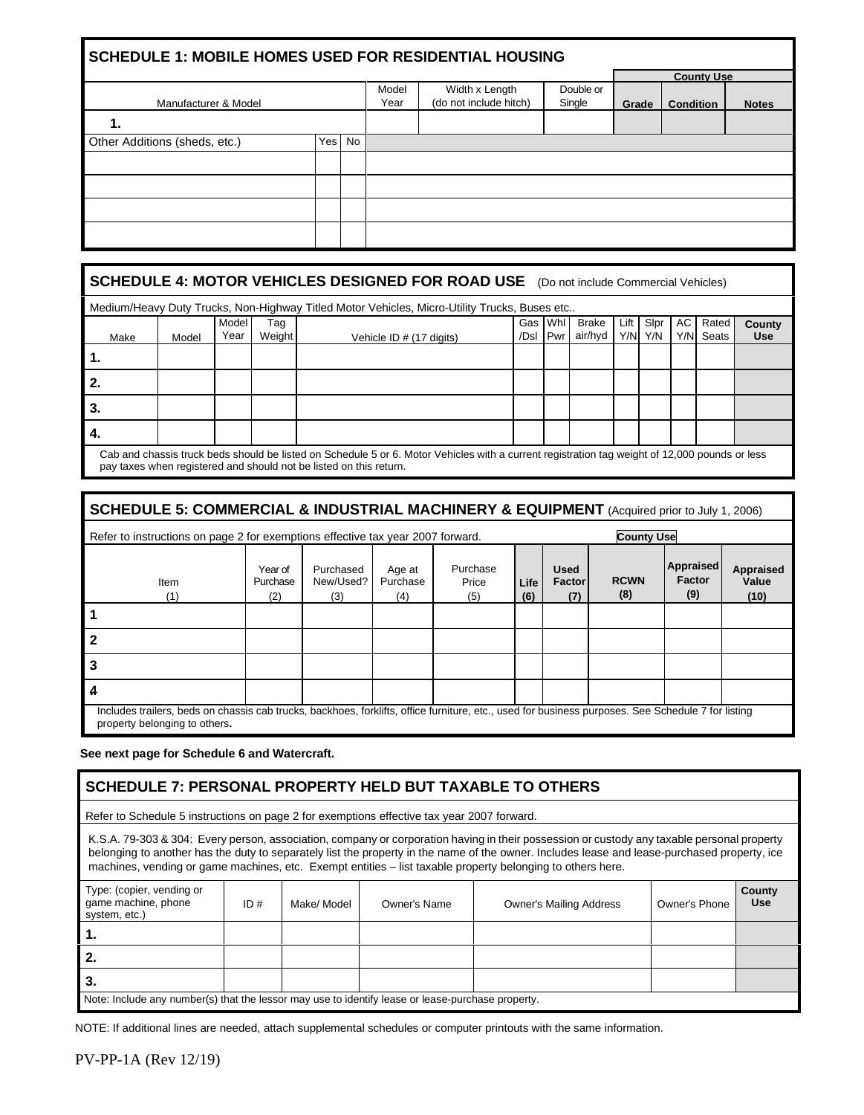#### **SCHEDULE 1: MOBILE HOMES USED FOR RESIDENTIAL HOUSING**

|                               |        |               |                                          |                     |       | <b>County Use</b> |              |
|-------------------------------|--------|---------------|------------------------------------------|---------------------|-------|-------------------|--------------|
| Manufacturer & Model          |        | Model<br>Year | Width x Length<br>(do not include hitch) | Double or<br>Single | Grade | <b>Condition</b>  | <b>Notes</b> |
| 1.                            |        |               |                                          |                     |       |                   |              |
| Other Additions (sheds, etc.) | Yes No |               |                                          |                     |       |                   |              |
|                               |        |               |                                          |                     |       |                   |              |
|                               |        |               |                                          |                     |       |                   |              |
|                               |        |               |                                          |                     |       |                   |              |
|                               |        |               |                                          |                     |       |                   |              |

#### **SCHEDULE 4: MOTOR VEHICLES DESIGNED FOR ROAD USE** (Do not include Commercial Vehicles)

|      | Medium/Heavy Duty Trucks, Non-Highway Titled Motor Vehicles, Micro-Utility Trucks, Buses etc |               |               |                                                                                                                                                |         |          |                         |      |                 |  |                       |                      |  |  |
|------|----------------------------------------------------------------------------------------------|---------------|---------------|------------------------------------------------------------------------------------------------------------------------------------------------|---------|----------|-------------------------|------|-----------------|--|-----------------------|----------------------|--|--|
| Make | Model                                                                                        | Model<br>Year | Tag<br>Weight | Vehicle ID # (17 digits)                                                                                                                       | Gas Whl | /Dsl Pwr | <b>Brake</b><br>air/hyd | Lift | Slpr<br>Y/N Y/N |  | AC Rated<br>Y/N Seats | County<br><b>Use</b> |  |  |
| ч.   |                                                                                              |               |               |                                                                                                                                                |         |          |                         |      |                 |  |                       |                      |  |  |
|      |                                                                                              |               |               |                                                                                                                                                |         |          |                         |      |                 |  |                       |                      |  |  |
| -3.  |                                                                                              |               |               |                                                                                                                                                |         |          |                         |      |                 |  |                       |                      |  |  |
|      |                                                                                              |               |               |                                                                                                                                                |         |          |                         |      |                 |  |                       |                      |  |  |
|      |                                                                                              |               |               | Cab and chassis truck beds should be listed on Schedule 5 or 6. Motor Vehicles with a current registration tag weight of 12,000 pounds or less |         |          |                         |      |                 |  |                       |                      |  |  |

pay taxes when registered and should not be listed on this return.

## **SCHEDULE 5: COMMERCIAL & INDUSTRIAL MACHINERY & EQUIPMENT** (Acquired prior to July 1, 2006)

|                                                                                                                                                                                     | <b>County Use</b><br>Refer to instructions on page 2 for exemptions effective tax year 2007 forward. |                               |                           |                          |             |                                     |                    |                                   |                            |  |  |  |  |
|-------------------------------------------------------------------------------------------------------------------------------------------------------------------------------------|------------------------------------------------------------------------------------------------------|-------------------------------|---------------------------|--------------------------|-------------|-------------------------------------|--------------------|-----------------------------------|----------------------------|--|--|--|--|
| Item                                                                                                                                                                                | Year of<br>Purchase<br>(2)                                                                           | Purchased<br>New/Used?<br>(3) | Age at<br>Purchase<br>(4) | Purchase<br>Price<br>(5) | Life<br>(6) | <b>Used</b><br><b>Factor</b><br>(7) | <b>RCWN</b><br>(8) | Appraised<br><b>Factor</b><br>(9) | Appraised<br>Value<br>(10) |  |  |  |  |
|                                                                                                                                                                                     |                                                                                                      |                               |                           |                          |             |                                     |                    |                                   |                            |  |  |  |  |
|                                                                                                                                                                                     |                                                                                                      |                               |                           |                          |             |                                     |                    |                                   |                            |  |  |  |  |
| 3                                                                                                                                                                                   |                                                                                                      |                               |                           |                          |             |                                     |                    |                                   |                            |  |  |  |  |
|                                                                                                                                                                                     |                                                                                                      |                               |                           |                          |             |                                     |                    |                                   |                            |  |  |  |  |
| Includes trailers, beds on chassis cab trucks, backhoes, forklifts, office furniture, etc., used for business purposes. See Schedule 7 for listing<br>property belonging to others. |                                                                                                      |                               |                           |                          |             |                                     |                    |                                   |                            |  |  |  |  |

**See next page for Schedule 6 and Watercraft.** 

### **SCHEDULE 7: PERSONAL PROPERTY HELD BUT TAXABLE TO OTHERS**

Refer to Schedule 5 instructions on page 2 for exemptions effective tax year 2007 forward.

K.S.A. 79-303 & 304: Every person, association, company or corporation having in their possession or custody any taxable personal property belonging to another has the duty to separately list the property in the name of the owner. Includes lease and lease-purchased property, ice machines, vending or game machines, etc. Exempt entities – list taxable property belonging to others here.

| Type: (copier, vending or<br>game machine, phone<br>system, etc.) | ID#                                                                                               | Make/ Model | Owner's Name | <b>Owner's Mailing Address</b> | Owner's Phone | County<br><b>Use</b> |  |  |  |  |  |  |
|-------------------------------------------------------------------|---------------------------------------------------------------------------------------------------|-------------|--------------|--------------------------------|---------------|----------------------|--|--|--|--|--|--|
| .,                                                                |                                                                                                   |             |              |                                |               |                      |  |  |  |  |  |  |
| 2.                                                                |                                                                                                   |             |              |                                |               |                      |  |  |  |  |  |  |
| З.                                                                |                                                                                                   |             |              |                                |               |                      |  |  |  |  |  |  |
|                                                                   | Note: Include any number(s) that the lessor may use to identify lease or lease-purchase property. |             |              |                                |               |                      |  |  |  |  |  |  |

NOTE: If additional lines are needed, attach supplemental schedules or computer printouts with the same information.